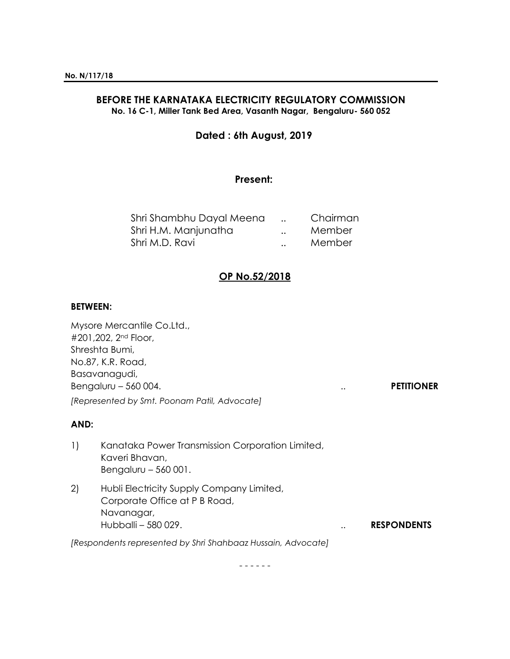### **BEFORE THE KARNATAKA ELECTRICITY REGULATORY COMMISSION No. 16 C-1, Miller Tank Bed Area, Vasanth Nagar, Bengaluru- 560 052**

# **Dated : 6th August, 2019**

# **Present:**

| Shri Shambhu Dayal Meena |                      | Chairman |
|--------------------------|----------------------|----------|
| Shri H.M. Manjunatha     | $\ddot{\phantom{a}}$ | Member   |
| Shri M.D. Ravi           | $\ddot{\phantom{a}}$ | Member   |

# **OP No.52/2018**

#### **BETWEEN:**

| Mysore Mercantile Co.Ltd.,                   |               |                   |
|----------------------------------------------|---------------|-------------------|
| #201,202, 2 <sup>nd</sup> Floor,             |               |                   |
| Shreshta Bumi,                               |               |                   |
| No.87, K.R. Road,                            |               |                   |
| Basavanagudi,                                |               |                   |
| Bengaluru - 560 004.                         | $\cdot \cdot$ | <b>PETITIONER</b> |
| [Represented by Smt. Poonam Patil, Advocate] |               |                   |

## **AND:**

- 1) Kanataka Power Transmission Corporation Limited, Kaveri Bhavan, Bengaluru – 560 001.
- 2) Hubli Electricity Supply Company Limited, Corporate Office at P B Road, Navanagar, Hubballi – 580 029. .. **RESPONDENTS**

*[Respondents represented by Shri Shahbaaz Hussain, Advocate]*

- - - - - -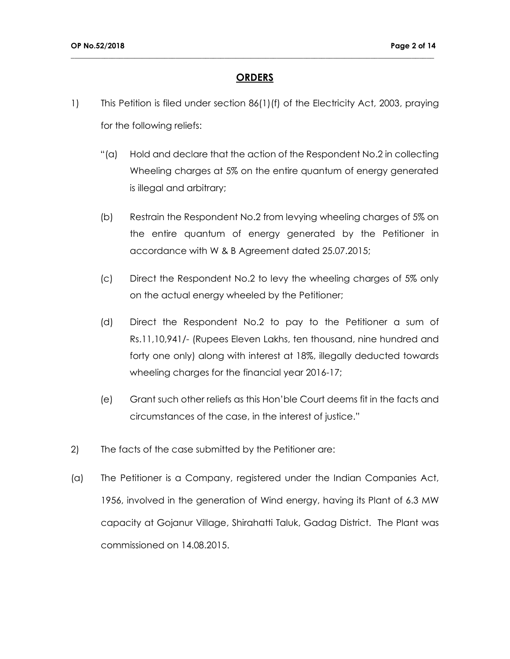### **ORDERS**

- 1) This Petition is filed under section 86(1)(f) of the Electricity Act, 2003, praying for the following reliefs:
	- "(a) Hold and declare that the action of the Respondent No.2 in collecting Wheeling charges at 5% on the entire quantum of energy generated is illegal and arbitrary;
	- (b) Restrain the Respondent No.2 from levying wheeling charges of 5% on the entire quantum of energy generated by the Petitioner in accordance with W & B Agreement dated 25.07.2015;
	- (c) Direct the Respondent No.2 to levy the wheeling charges of 5% only on the actual energy wheeled by the Petitioner;
	- (d) Direct the Respondent No.2 to pay to the Petitioner a sum of Rs.11,10,941/- (Rupees Eleven Lakhs, ten thousand, nine hundred and forty one only) along with interest at 18%, illegally deducted towards wheeling charges for the financial year 2016-17;
	- (e) Grant such other reliefs as this Hon'ble Court deems fit in the facts and circumstances of the case, in the interest of justice."
- 2) The facts of the case submitted by the Petitioner are:
- (a) The Petitioner is a Company, registered under the Indian Companies Act, 1956, involved in the generation of Wind energy, having its Plant of 6.3 MW capacity at Gojanur Village, Shirahatti Taluk, Gadag District. The Plant was commissioned on 14.08.2015.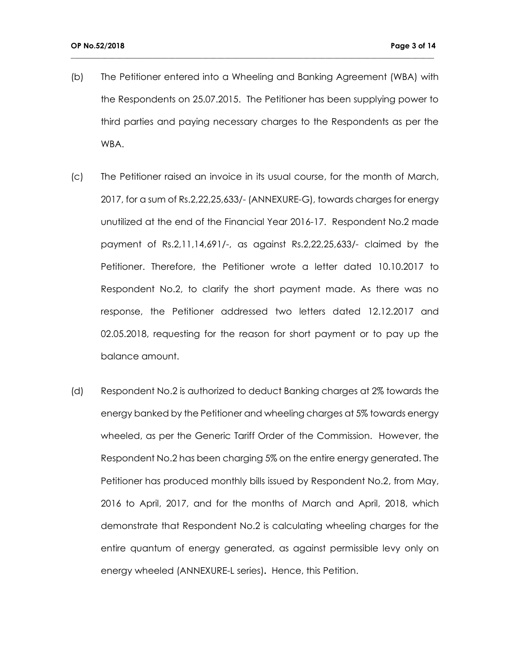(b) The Petitioner entered into a Wheeling and Banking Agreement (WBA) with the Respondents on 25.07.2015. The Petitioner has been supplying power to third parties and paying necessary charges to the Respondents as per the WBA.

- (c) The Petitioner raised an invoice in its usual course, for the month of March, 2017, for a sum of Rs.2,22,25,633/- (ANNEXURE-G), towards charges for energy unutilized at the end of the Financial Year 2016-17. Respondent No.2 made payment of Rs.2,11,14,691/-, as against Rs.2,22,25,633/- claimed by the Petitioner. Therefore, the Petitioner wrote a letter dated 10.10.2017 to Respondent No.2, to clarify the short payment made. As there was no response, the Petitioner addressed two letters dated 12.12.2017 and 02.05.2018, requesting for the reason for short payment or to pay up the balance amount.
- (d) Respondent No.2 is authorized to deduct Banking charges at 2% towards the energy banked by the Petitioner and wheeling charges at 5% towards energy wheeled, as per the Generic Tariff Order of the Commission. However, the Respondent No.2 has been charging 5% on the entire energy generated. The Petitioner has produced monthly bills issued by Respondent No.2, from May, 2016 to April, 2017, and for the months of March and April, 2018, which demonstrate that Respondent No.2 is calculating wheeling charges for the entire quantum of energy generated, as against permissible levy only on energy wheeled (ANNEXURE-L series)**.** Hence, this Petition.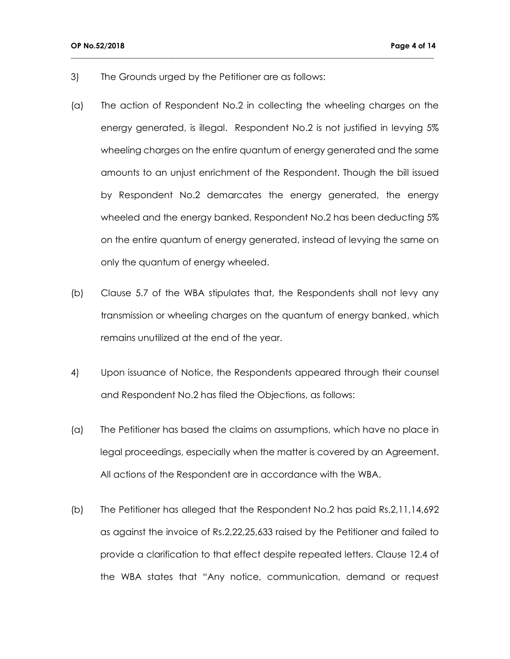- 3) The Grounds urged by the Petitioner are as follows:
- (a) The action of Respondent No.2 in collecting the wheeling charges on the energy generated, is illegal. Respondent No.2 is not justified in levying 5% wheeling charges on the entire quantum of energy generated and the same amounts to an unjust enrichment of the Respondent. Though the bill issued by Respondent No.2 demarcates the energy generated, the energy wheeled and the energy banked, Respondent No.2 has been deducting 5% on the entire quantum of energy generated, instead of levying the same on only the quantum of energy wheeled.

- (b) Clause 5.7 of the WBA stipulates that, the Respondents shall not levy any transmission or wheeling charges on the quantum of energy banked, which remains unutilized at the end of the year.
- 4) Upon issuance of Notice, the Respondents appeared through their counsel and Respondent No.2 has filed the Objections, as follows:
- (a) The Petitioner has based the claims on assumptions, which have no place in legal proceedings, especially when the matter is covered by an Agreement. All actions of the Respondent are in accordance with the WBA.
- (b) The Petitioner has alleged that the Respondent No.2 has paid Rs.2,11,14,692 as against the invoice of Rs.2,22,25,633 raised by the Petitioner and failed to provide a clarification to that effect despite repeated letters. Clause 12.4 of the WBA states that "Any notice, communication, demand or request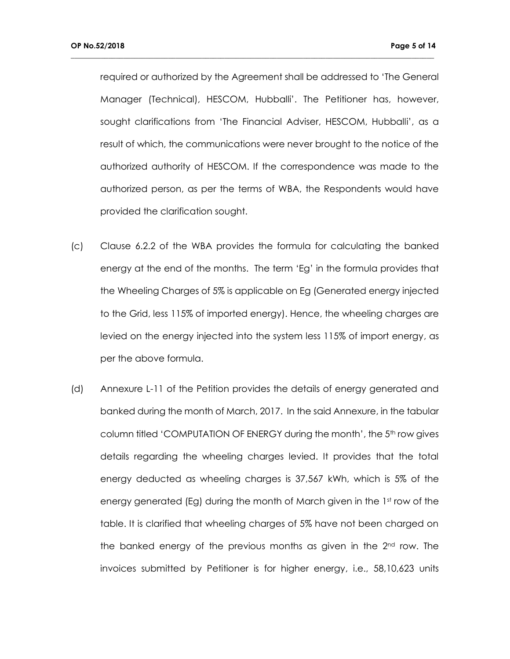required or authorized by the Agreement shall be addressed to 'The General Manager (Technical), HESCOM, Hubballi'. The Petitioner has, however, sought clarifications from 'The Financial Adviser, HESCOM, Hubballi', as a result of which, the communications were never brought to the notice of the authorized authority of HESCOM. If the correspondence was made to the authorized person, as per the terms of WBA, the Respondents would have provided the clarification sought.

- (c) Clause 6.2.2 of the WBA provides the formula for calculating the banked energy at the end of the months. The term 'Eg' in the formula provides that the Wheeling Charges of 5% is applicable on Eg (Generated energy injected to the Grid, less 115% of imported energy). Hence, the wheeling charges are levied on the energy injected into the system less 115% of import energy, as per the above formula.
- (d) Annexure L-11 of the Petition provides the details of energy generated and banked during the month of March, 2017. In the said Annexure, in the tabular column titled 'COMPUTATION OF ENERGY during the month', the 5<sup>th</sup> row gives details regarding the wheeling charges levied. It provides that the total energy deducted as wheeling charges is 37,567 kWh, which is 5% of the energy generated (Eg) during the month of March given in the  $1<sup>st</sup>$  row of the table. It is clarified that wheeling charges of 5% have not been charged on the banked energy of the previous months as given in the 2nd row. The invoices submitted by Petitioner is for higher energy, i.e., 58,10,623 units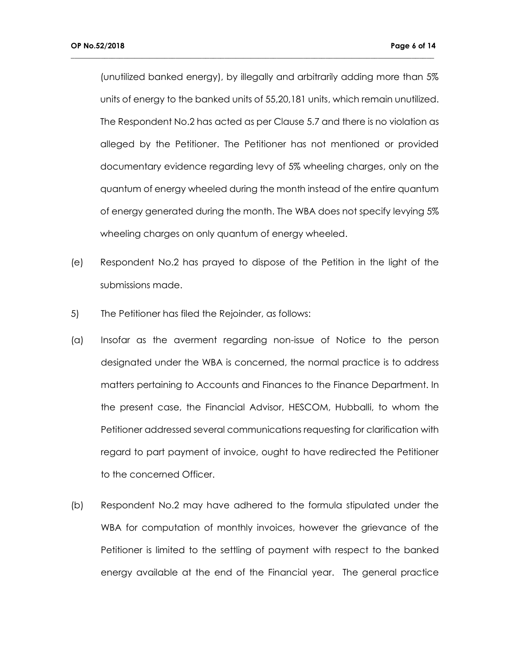(unutilized banked energy), by illegally and arbitrarily adding more than 5% units of energy to the banked units of 55,20,181 units, which remain unutilized. The Respondent No.2 has acted as per Clause 5.7 and there is no violation as alleged by the Petitioner. The Petitioner has not mentioned or provided documentary evidence regarding levy of 5% wheeling charges, only on the quantum of energy wheeled during the month instead of the entire quantum of energy generated during the month. The WBA does not specify levying 5% wheeling charges on only quantum of energy wheeled.

- (e) Respondent No.2 has prayed to dispose of the Petition in the light of the submissions made.
- 5) The Petitioner has filed the Rejoinder, as follows:
- (a) Insofar as the averment regarding non-issue of Notice to the person designated under the WBA is concerned, the normal practice is to address matters pertaining to Accounts and Finances to the Finance Department. In the present case, the Financial Advisor, HESCOM, Hubballi, to whom the Petitioner addressed several communications requesting for clarification with regard to part payment of invoice, ought to have redirected the Petitioner to the concerned Officer.
- (b) Respondent No.2 may have adhered to the formula stipulated under the WBA for computation of monthly invoices, however the grievance of the Petitioner is limited to the settling of payment with respect to the banked energy available at the end of the Financial year. The general practice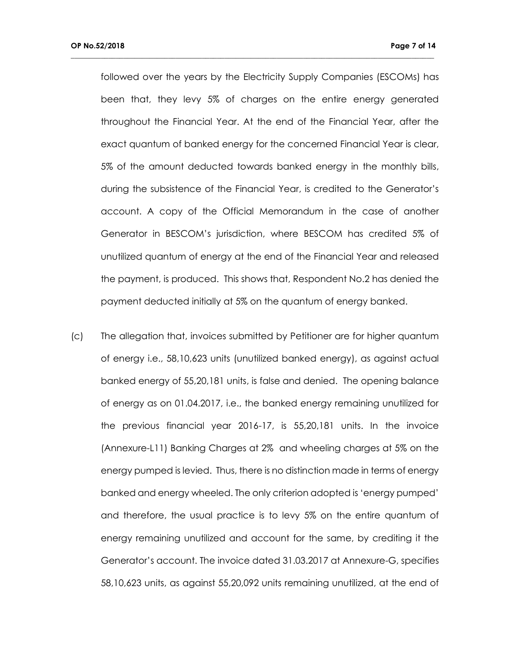followed over the years by the Electricity Supply Companies (ESCOMs) has been that, they levy 5% of charges on the entire energy generated throughout the Financial Year. At the end of the Financial Year, after the exact quantum of banked energy for the concerned Financial Year is clear, 5% of the amount deducted towards banked energy in the monthly bills, during the subsistence of the Financial Year, is credited to the Generator's account. A copy of the Official Memorandum in the case of another Generator in BESCOM's jurisdiction, where BESCOM has credited 5% of unutilized quantum of energy at the end of the Financial Year and released the payment, is produced. This shows that, Respondent No.2 has denied the payment deducted initially at 5% on the quantum of energy banked.

**\_\_\_\_\_\_\_\_\_\_\_\_\_\_\_\_\_\_\_\_\_\_\_\_\_\_\_\_\_\_\_\_\_\_\_\_\_\_\_\_\_\_\_\_\_\_\_\_\_\_\_\_\_\_\_\_\_\_\_\_\_\_\_\_\_\_\_\_\_\_\_\_\_\_\_\_\_\_\_\_\_\_\_\_\_\_\_\_\_\_\_\_\_\_\_\_\_**

(c) The allegation that, invoices submitted by Petitioner are for higher quantum of energy i.e., 58,10,623 units (unutilized banked energy), as against actual banked energy of 55,20,181 units, is false and denied. The opening balance of energy as on 01.04.2017, i.e., the banked energy remaining unutilized for the previous financial year 2016-17, is 55,20,181 units. In the invoice (Annexure-L11) Banking Charges at 2% and wheeling charges at 5% on the energy pumped is levied. Thus, there is no distinction made in terms of energy banked and energy wheeled. The only criterion adopted is 'energy pumped' and therefore, the usual practice is to levy 5% on the entire quantum of energy remaining unutilized and account for the same, by crediting it the Generator's account. The invoice dated 31.03.2017 at Annexure-G, specifies 58,10,623 units, as against 55,20,092 units remaining unutilized, at the end of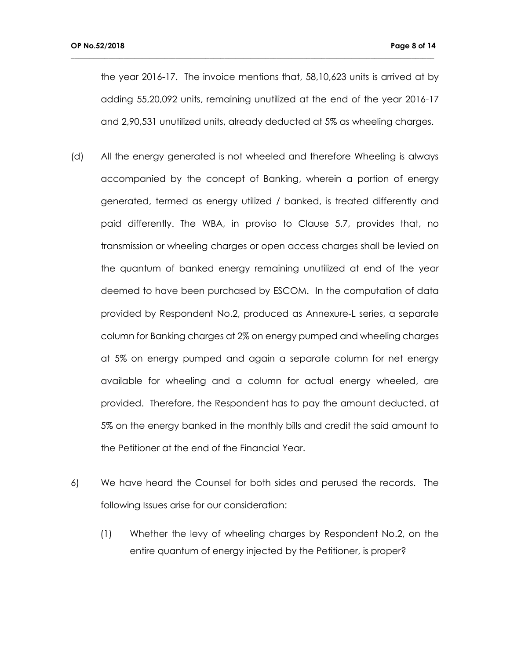the year 2016-17. The invoice mentions that, 58,10,623 units is arrived at by adding 55,20,092 units, remaining unutilized at the end of the year 2016-17 and 2,90,531 unutilized units, already deducted at 5% as wheeling charges.

- (d) All the energy generated is not wheeled and therefore Wheeling is always accompanied by the concept of Banking, wherein a portion of energy generated, termed as energy utilized / banked, is treated differently and paid differently. The WBA, in proviso to Clause 5.7, provides that, no transmission or wheeling charges or open access charges shall be levied on the quantum of banked energy remaining unutilized at end of the year deemed to have been purchased by ESCOM. In the computation of data provided by Respondent No.2, produced as Annexure-L series, a separate column for Banking charges at 2% on energy pumped and wheeling charges at 5% on energy pumped and again a separate column for net energy available for wheeling and a column for actual energy wheeled, are provided. Therefore, the Respondent has to pay the amount deducted, at 5% on the energy banked in the monthly bills and credit the said amount to the Petitioner at the end of the Financial Year.
- 6) We have heard the Counsel for both sides and perused the records. The following Issues arise for our consideration:
	- (1) Whether the levy of wheeling charges by Respondent No.2, on the entire quantum of energy injected by the Petitioner, is proper?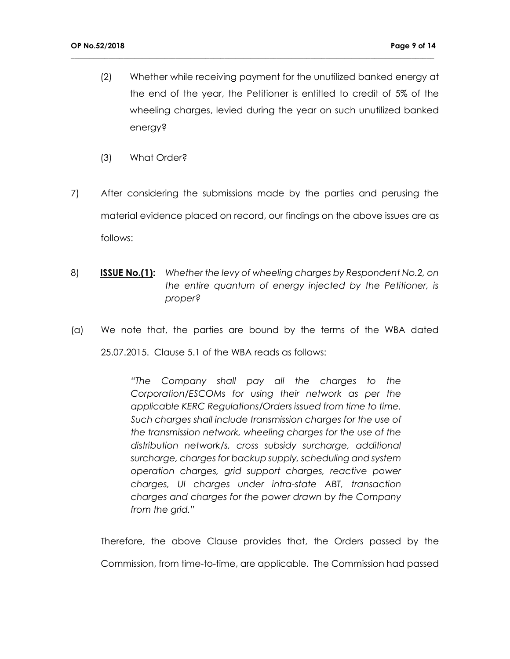(2) Whether while receiving payment for the unutilized banked energy at the end of the year, the Petitioner is entitled to credit of 5% of the wheeling charges, levied during the year on such unutilized banked energy?

**\_\_\_\_\_\_\_\_\_\_\_\_\_\_\_\_\_\_\_\_\_\_\_\_\_\_\_\_\_\_\_\_\_\_\_\_\_\_\_\_\_\_\_\_\_\_\_\_\_\_\_\_\_\_\_\_\_\_\_\_\_\_\_\_\_\_\_\_\_\_\_\_\_\_\_\_\_\_\_\_\_\_\_\_\_\_\_\_\_\_\_\_\_\_\_\_\_**

- (3) What Order?
- 7) After considering the submissions made by the parties and perusing the material evidence placed on record, our findings on the above issues are as follows:
- 8) **ISSUE No.(1):** *Whether the levy of wheeling charges by Respondent No.2, on the entire quantum of energy injected by the Petitioner, is proper?*
- (a) We note that, the parties are bound by the terms of the WBA dated 25.07.2015. Clause 5.1 of the WBA reads as follows:

*"The Company shall pay all the charges to the Corporation/ESCOMs for using their network as per the applicable KERC Regulations/Orders issued from time to time. Such charges shall include transmission charges for the use of the transmission network, wheeling charges for the use of the distribution network/s, cross subsidy surcharge, additional surcharge, charges for backup supply, scheduling and system operation charges, grid support charges, reactive power charges, UI charges under intra-state ABT, transaction charges and charges for the power drawn by the Company from the grid."*

Therefore, the above Clause provides that, the Orders passed by the Commission, from time-to-time, are applicable. The Commission had passed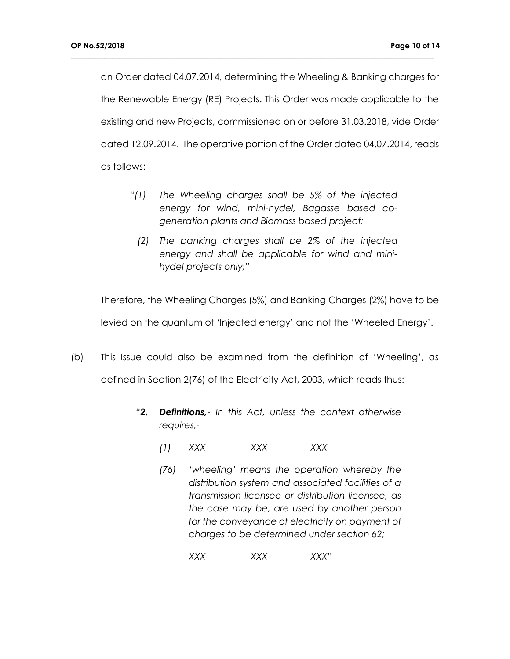an Order dated 04.07.2014, determining the Wheeling & Banking charges for the Renewable Energy (RE) Projects. This Order was made applicable to the existing and new Projects, commissioned on or before 31.03.2018, vide Order dated 12.09.2014. The operative portion of the Order dated 04.07.2014, reads as follows:

**\_\_\_\_\_\_\_\_\_\_\_\_\_\_\_\_\_\_\_\_\_\_\_\_\_\_\_\_\_\_\_\_\_\_\_\_\_\_\_\_\_\_\_\_\_\_\_\_\_\_\_\_\_\_\_\_\_\_\_\_\_\_\_\_\_\_\_\_\_\_\_\_\_\_\_\_\_\_\_\_\_\_\_\_\_\_\_\_\_\_\_\_\_\_\_\_\_**

- *"(1) The Wheeling charges shall be 5% of the injected energy for wind, mini-hydel, Bagasse based cogeneration plants and Biomass based project;*
	- *(2) The banking charges shall be 2% of the injected energy and shall be applicable for wind and minihydel projects only;"*

Therefore, the Wheeling Charges (5%) and Banking Charges (2%) have to be levied on the quantum of 'Injected energy' and not the 'Wheeled Energy'.

- (b) This Issue could also be examined from the definition of 'Wheeling', as defined in Section 2(76) of the Electricity Act, 2003, which reads thus:
	- *"2. Definitions,- In this Act, unless the context otherwise requires,-*
		- *(1) XXX XXX XXX*
		- *(76) 'wheeling' means the operation whereby the distribution system and associated facilities of a transmission licensee or distribution licensee, as the case may be, are used by another person for the conveyance of electricity on payment of charges to be determined under section 62;*
			- *XXX XXX XXX"*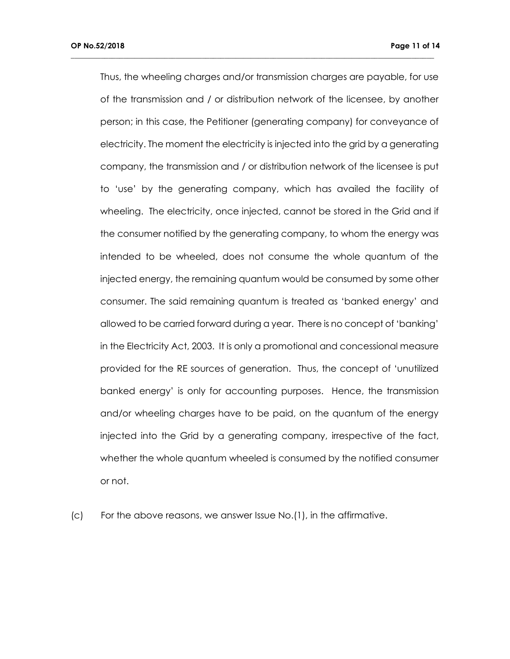Thus, the wheeling charges and/or transmission charges are payable, for use of the transmission and / or distribution network of the licensee, by another person; in this case, the Petitioner (generating company) for conveyance of electricity. The moment the electricity is injected into the grid by a generating company, the transmission and / or distribution network of the licensee is put to 'use' by the generating company, which has availed the facility of wheeling. The electricity, once injected, cannot be stored in the Grid and if the consumer notified by the generating company, to whom the energy was intended to be wheeled, does not consume the whole quantum of the injected energy, the remaining quantum would be consumed by some other consumer. The said remaining quantum is treated as 'banked energy' and allowed to be carried forward during a year. There is no concept of 'banking' in the Electricity Act, 2003. It is only a promotional and concessional measure provided for the RE sources of generation. Thus, the concept of 'unutilized banked energy' is only for accounting purposes. Hence, the transmission and/or wheeling charges have to be paid, on the quantum of the energy injected into the Grid by a generating company, irrespective of the fact, whether the whole quantum wheeled is consumed by the notified consumer or not.

**\_\_\_\_\_\_\_\_\_\_\_\_\_\_\_\_\_\_\_\_\_\_\_\_\_\_\_\_\_\_\_\_\_\_\_\_\_\_\_\_\_\_\_\_\_\_\_\_\_\_\_\_\_\_\_\_\_\_\_\_\_\_\_\_\_\_\_\_\_\_\_\_\_\_\_\_\_\_\_\_\_\_\_\_\_\_\_\_\_\_\_\_\_\_\_\_\_**

(c) For the above reasons, we answer Issue No.(1), in the affirmative.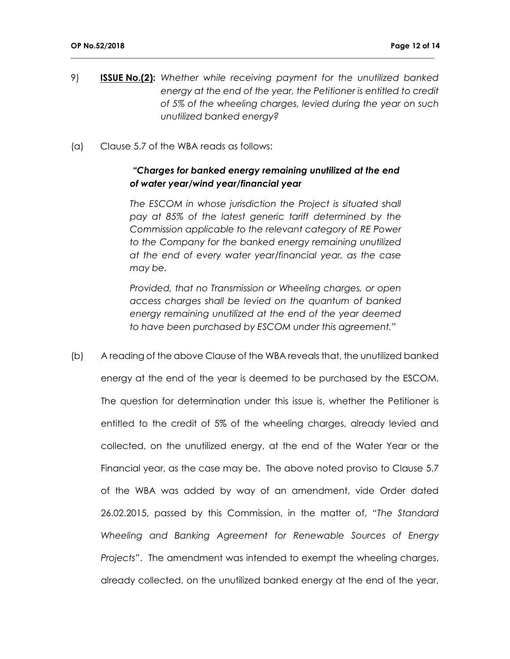9) **ISSUE No.(2):** *Whether while receiving payment for the unutilized banked energy at the end of the year, the Petitioner is entitled to credit of 5% of the wheeling charges, levied during the year on such unutilized banked energy?*

**\_\_\_\_\_\_\_\_\_\_\_\_\_\_\_\_\_\_\_\_\_\_\_\_\_\_\_\_\_\_\_\_\_\_\_\_\_\_\_\_\_\_\_\_\_\_\_\_\_\_\_\_\_\_\_\_\_\_\_\_\_\_\_\_\_\_\_\_\_\_\_\_\_\_\_\_\_\_\_\_\_\_\_\_\_\_\_\_\_\_\_\_\_\_\_\_\_**

(a) Clause 5.7 of the WBA reads as follows:

### *"Charges for banked energy remaining unutilized at the end of water year/wind year/financial year*

*The ESCOM in whose jurisdiction the Project is situated shall pay at 85% of the latest generic tariff determined by the Commission applicable to the relevant category of RE Power to the Company for the banked energy remaining unutilized at the end of every water year/financial year, as the case may be.*

*Provided, that no Transmission or Wheeling charges, or open access charges shall be levied on the quantum of banked energy remaining unutilized at the end of the year deemed to have been purchased by ESCOM under this agreement."*

(b) A reading of the above Clause of the WBA reveals that, the unutilized banked energy at the end of the year is deemed to be purchased by the ESCOM. The question for determination under this issue is, whether the Petitioner is entitled to the credit of 5% of the wheeling charges, already levied and collected, on the unutilized energy, at the end of the Water Year or the Financial year, as the case may be. The above noted proviso to Clause 5.7 of the WBA was added by way of an amendment, vide Order dated 26.02.2015, passed by this Commission, in the matter of, "*The Standard Wheeling and Banking Agreement for Renewable Sources of Energy Projects"*. The amendment was intended to exempt the wheeling charges, already collected, on the unutilized banked energy at the end of the year,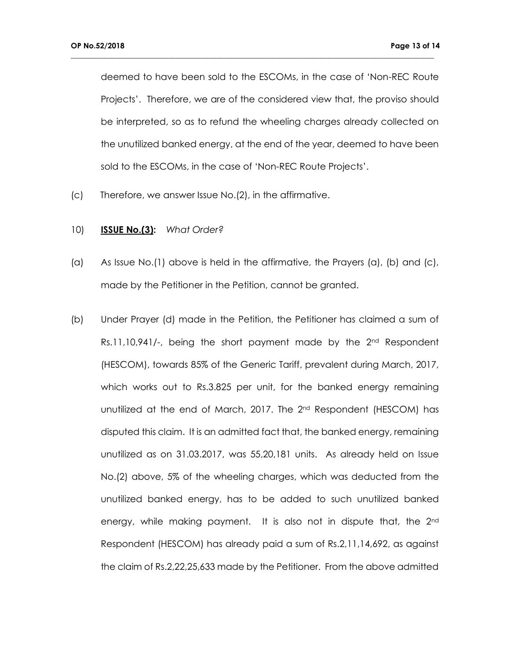deemed to have been sold to the ESCOMs, in the case of 'Non-REC Route Projects'. Therefore, we are of the considered view that, the proviso should be interpreted, so as to refund the wheeling charges already collected on the unutilized banked energy, at the end of the year, deemed to have been sold to the ESCOMs, in the case of 'Non-REC Route Projects'.

- (c) Therefore, we answer Issue No.(2), in the affirmative.
- 10) **ISSUE No.(3):** *What Order?*
- (a) As Issue No.(1) above is held in the affirmative, the Prayers (a), (b) and (c), made by the Petitioner in the Petition, cannot be granted.
- (b) Under Prayer (d) made in the Petition, the Petitioner has claimed a sum of  $Rs.11,10,941/$ -, being the short payment made by the  $2<sup>nd</sup>$  Respondent (HESCOM), towards 85% of the Generic Tariff, prevalent during March, 2017, which works out to Rs.3.825 per unit, for the banked energy remaining unutilized at the end of March, 2017. The 2<sup>nd</sup> Respondent (HESCOM) has disputed this claim. It is an admitted fact that, the banked energy, remaining unutilized as on 31.03.2017, was 55,20,181 units. As already held on Issue No.(2) above, 5% of the wheeling charges, which was deducted from the unutilized banked energy, has to be added to such unutilized banked energy, while making payment. It is also not in dispute that, the 2<sup>nd</sup> Respondent (HESCOM) has already paid a sum of Rs.2,11,14,692, as against the claim of Rs.2,22,25,633 made by the Petitioner. From the above admitted